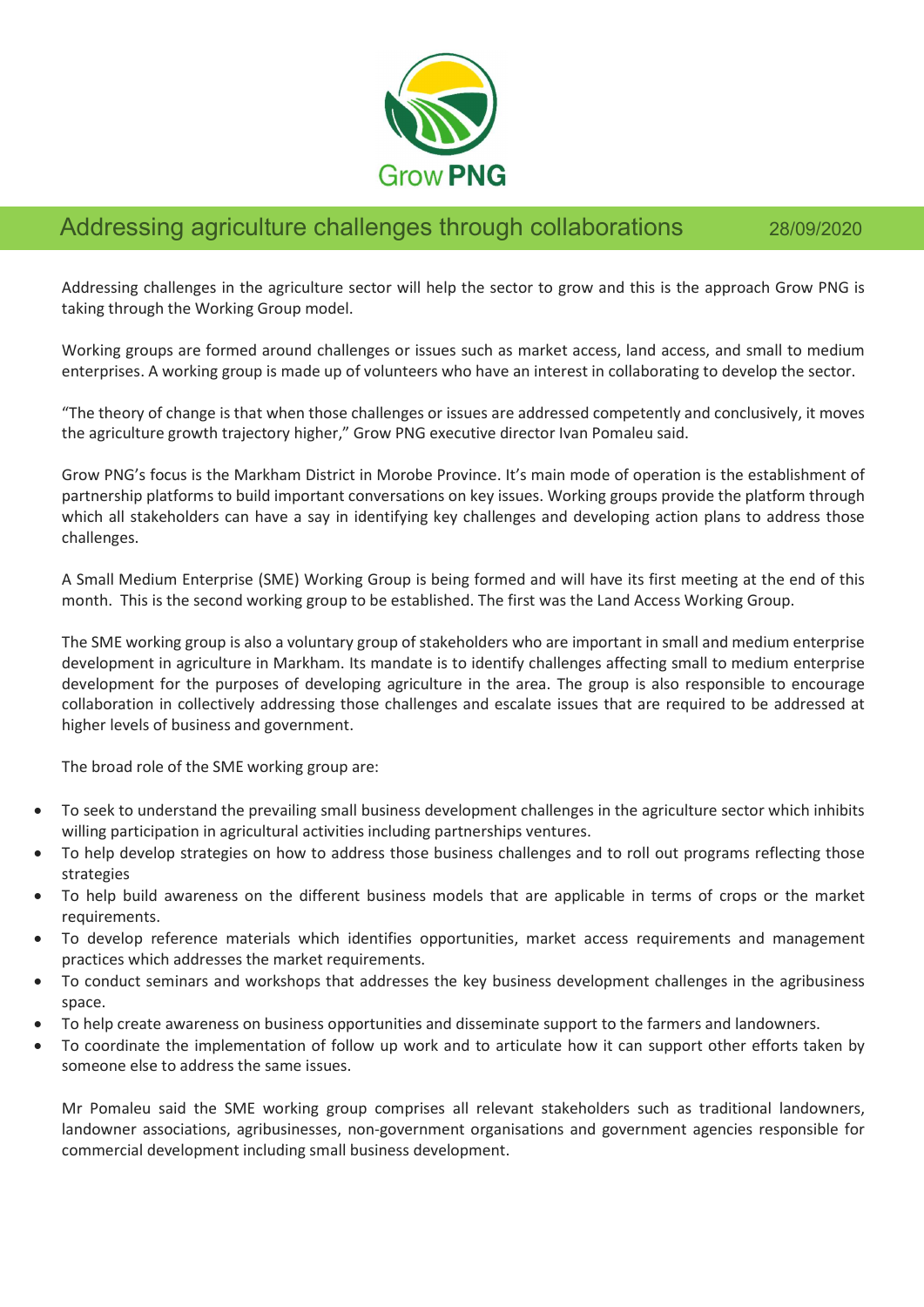

## Addressing agriculture challenges through collaborations 28/09/2020

Addressing challenges in the agriculture sector will help the sector to grow and this is the approach Grow PNG is taking through the Working Group model.

Working groups are formed around challenges or issues such as market access, land access, and small to medium enterprises. A working group is made up of volunteers who have an interest in collaborating to develop the sector.

"The theory of change is that when those challenges or issues are addressed competently and conclusively, it moves the agriculture growth trajectory higher," Grow PNG executive director Ivan Pomaleu said.

Grow PNG's focus is the Markham District in Morobe Province. It's main mode of operation is the establishment of partnership platforms to build important conversations on key issues. Working groups provide the platform through which all stakeholders can have a say in identifying key challenges and developing action plans to address those challenges.

A Small Medium Enterprise (SME) Working Group is being formed and will have its first meeting at the end of this month. This is the second working group to be established. The first was the Land Access Working Group.

The SME working group is also a voluntary group of stakeholders who are important in small and medium enterprise development in agriculture in Markham. Its mandate is to identify challenges affecting small to medium enterprise development for the purposes of developing agriculture in the area. The group is also responsible to encourage collaboration in collectively addressing those challenges and escalate issues that are required to be addressed at higher levels of business and government.

The broad role of the SME working group are:

- To seek to understand the prevailing small business development challenges in the agriculture sector which inhibits willing participation in agricultural activities including partnerships ventures.
- To help develop strategies on how to address those business challenges and to roll out programs reflecting those strategies
- To help build awareness on the different business models that are applicable in terms of crops or the market requirements.
- To develop reference materials which identifies opportunities, market access requirements and management practices which addresses the market requirements.
- To conduct seminars and workshops that addresses the key business development challenges in the agribusiness space.
- To help create awareness on business opportunities and disseminate support to the farmers and landowners.
- To coordinate the implementation of follow up work and to articulate how it can support other efforts taken by someone else to address the same issues.

Mr Pomaleu said the SME working group comprises all relevant stakeholders such as traditional landowners, landowner associations, agribusinesses, non-government organisations and government agencies responsible for commercial development including small business development.